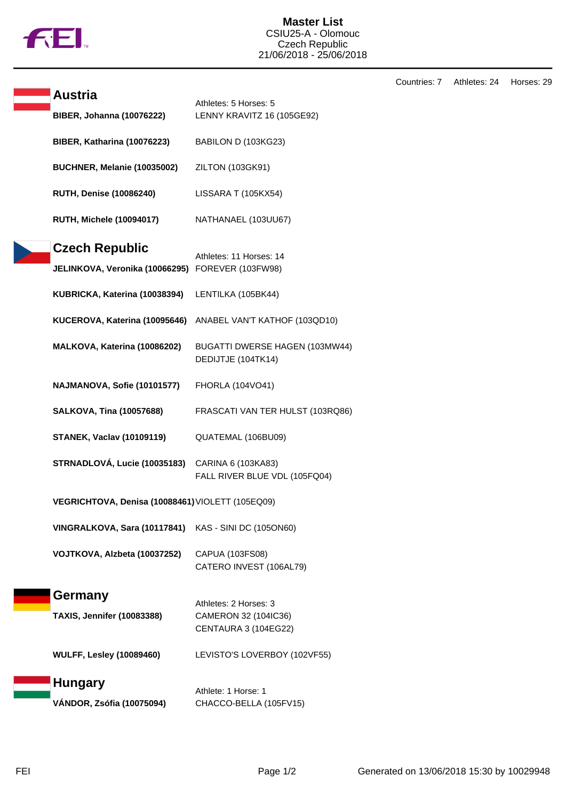

**Master List** CSIU25-A - Olomouc Czech Republic 21/06/2018 - 25/06/2018

Countries: 7 Athletes: 24 Horses: 29

| Austria                                          |                                                     |
|--------------------------------------------------|-----------------------------------------------------|
| <b>BIBER, Johanna (10076222)</b>                 | Athletes: 5 Horses: 5<br>LENNY KRAVITZ 16 (105GE92) |
|                                                  |                                                     |
| BIBER, Katharina (10076223)                      | BABILON D (103KG23)                                 |
| BUCHNER, Melanie (10035002)                      | ZILTON (103GK91)                                    |
|                                                  |                                                     |
| <b>RUTH, Denise (10086240)</b>                   | LISSARA T (105KX54)                                 |
| <b>RUTH, Michele (10094017)</b>                  | NATHANAEL (103UU67)                                 |
|                                                  |                                                     |
| Czech Republic                                   | Athletes: 11 Horses: 14                             |
| JELINKOVA, Veronika (10066295)                   | FOREVER (103FW98)                                   |
| KUBRICKA, Katerina (10038394)                    | LENTILKA (105BK44)                                  |
| KUCEROVA, Katerina (10095646)                    | ANABEL VAN'T KATHOF (103QD10)                       |
|                                                  |                                                     |
| MALKOVA, Katerina (10086202)                     | BUGATTI DWERSE HAGEN (103MW44)                      |
|                                                  | DEDIJTJE (104TK14)                                  |
| NAJMANOVA, Sofie (10101577)                      | FHORLA (104VO41)                                    |
|                                                  |                                                     |
| <b>SALKOVA, Tina (10057688)</b>                  | FRASCATI VAN TER HULST (103RQ86)                    |
| <b>STANEK, Vaclav (10109119)</b>                 | QUATEMAL (106BU09)                                  |
|                                                  |                                                     |
| STRNADLOVÁ, Lucie (10035183)                     | CARINA 6 (103KA83)                                  |
|                                                  | FALL RIVER BLUE VDL (105FQ04)                       |
| VEGRICHTOVA, Denisa (10088461) VIOLETT (105EQ09) |                                                     |
| VINGRALKOVA, Sara (10117841)                     | KAS - SINI DC (105ON60)                             |
|                                                  |                                                     |
| VOJTKOVA, Alzbeta (10037252)                     | CAPUA (103FS08)                                     |
|                                                  | CATERO INVEST (106AL79)                             |
| Germany                                          |                                                     |
|                                                  | Athletes: 2 Horses: 3                               |
| <b>TAXIS, Jennifer (10083388)</b>                | CAMERON 32 (104IC36)                                |
|                                                  | CENTAURA 3 (104EG22)                                |
| <b>WULFF, Lesley (10089460)</b>                  | LEVISTO'S LOVERBOY (102VF55)                        |
|                                                  |                                                     |
| <b>Hungary</b>                                   | Athlete: 1 Horse: 1                                 |
| VÁNDOR, Zsófia (10075094)                        | CHACCO-BELLA (105FV15)                              |